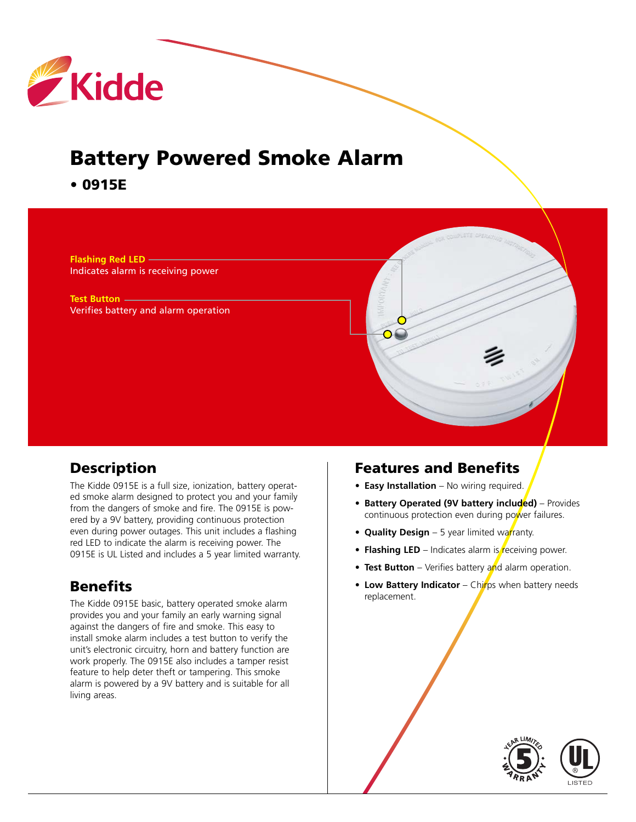

# **Battery Powered Smoke Alarm**

**• 0915E**

**Flashing Red LED** Indicates alarm is receiving power

**Test Button** Verifies battery and alarm operation

#### **Description**

The Kidde 0915E is a full size, ionization, battery operated smoke alarm designed to protect you and your family from the dangers of smoke and fire. The 0915E is powered by a 9V battery, providing continuous protection even during power outages. This unit includes a flashing red LED to indicate the alarm is receiving power. The 0915E is UL Listed and includes a 5 year limited warranty.

## **Benefits**

The Kidde 0915E basic, battery operated smoke alarm provides you and your family an early warning signal against the dangers of fire and smoke. This easy to install smoke alarm includes a test button to verify the unit's electronic circuitry, horn and battery function are work properly. The 0915E also includes a tamper resist feature to help deter theft or tampering. This smoke alarm is powered by a 9V battery and is suitable for all living areas.

#### **Features and Benefits**

- **• Easy Installation** No wiring required.
- **Battery Operated (9V battery included)** Provides continuous protection even during power failures.
- **Quality Design** 5 year limited warranty.
- **Flashing LED** Indicates alarm is receiving power.
- **Test Button** Verifies battery and alarm operation.
- **Low Battery Indicator** Chirps when battery needs replacement.